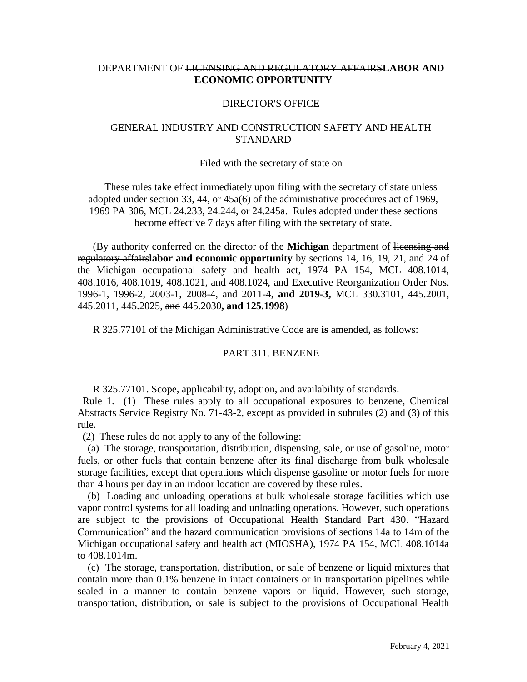# DEPARTMENT OF LICENSING AND REGULATORY AFFAIRS**LABOR AND ECONOMIC OPPORTUNITY**

## DIRECTOR'S OFFICE

## GENERAL INDUSTRY AND CONSTRUCTION SAFETY AND HEALTH **STANDARD**

#### Filed with the secretary of state on

These rules take effect immediately upon filing with the secretary of state unless adopted under section 33, 44, or 45a(6) of the administrative procedures act of 1969, 1969 PA 306, MCL 24.233, 24.244, or 24.245a. Rules adopted under these sections become effective 7 days after filing with the secretary of state.

(By authority conferred on the director of the **Michigan** department of licensing and regulatory affairs**labor and economic opportunity** by sections 14, 16, 19, 21, and 24 of the Michigan occupational safety and health act, 1974 PA 154, MCL 408.1014, 408.1016, 408.1019, 408.1021, and 408.1024, and Executive Reorganization Order Nos. 1996-1, 1996-2, 2003-1, 2008-4, and 2011-4, **and 2019-3,** MCL 330.3101, 445.2001, 445.2011, 445.2025, and 445.2030**, and 125.1998**)

R 325.77101 of the Michigan Administrative Code are **is** amended, as follows:

#### PART 311. BENZENE

R 325.77101. Scope, applicability, adoption, and availability of standards.

 Rule 1. (1) These rules apply to all occupational exposures to benzene, Chemical Abstracts Service Registry No. 71-43-2, except as provided in subrules (2) and (3) of this rule.

(2) These rules do not apply to any of the following:

 (a) The storage, transportation, distribution, dispensing, sale, or use of gasoline, motor fuels, or other fuels that contain benzene after its final discharge from bulk wholesale storage facilities, except that operations which dispense gasoline or motor fuels for more than 4 hours per day in an indoor location are covered by these rules.

 (b) Loading and unloading operations at bulk wholesale storage facilities which use vapor control systems for all loading and unloading operations. However, such operations are subject to the provisions of Occupational Health Standard Part 430. "Hazard Communication" and the hazard communication provisions of sections 14a to 14m of the Michigan occupational safety and health act (MIOSHA), 1974 PA 154, MCL 408.1014a to 408.1014m.

 (c) The storage, transportation, distribution, or sale of benzene or liquid mixtures that contain more than 0.1% benzene in intact containers or in transportation pipelines while sealed in a manner to contain benzene vapors or liquid. However, such storage, transportation, distribution, or sale is subject to the provisions of Occupational Health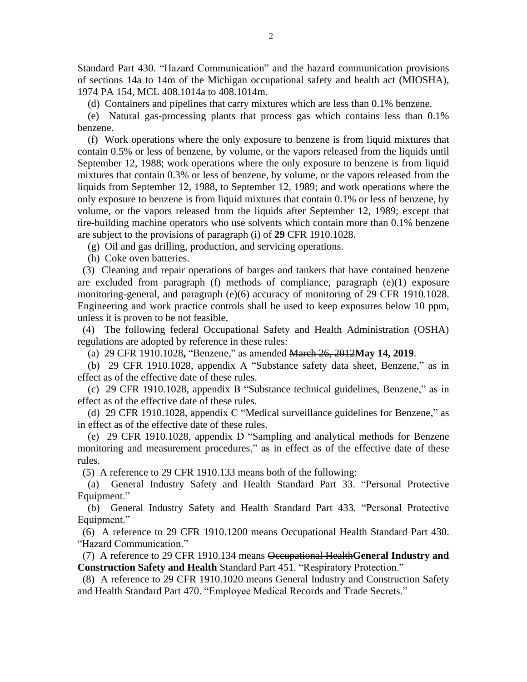Standard Part 430. "Hazard Communication" and the hazard communication provisions of sections 14a to 14m of the Michigan occupational safety and health act (MIOSHA), 1974 PA 154, MCL 408.1014a to 408.1014m.

(d) Containers and pipelines that carry mixtures which are less than 0.1% benzene.

 (e) Natural gas-processing plants that process gas which contains less than 0.1% benzene.

 (f) Work operations where the only exposure to benzene is from liquid mixtures that contain 0.5% or less of benzene, by volume, or the vapors released from the liquids until September 12, 1988; work operations where the only exposure to benzene is from liquid mixtures that contain 0.3% or less of benzene, by volume, or the vapors released from the liquids from September 12, 1988, to September 12, 1989; and work operations where the only exposure to benzene is from liquid mixtures that contain 0.1% or less of benzene, by volume, or the vapors released from the liquids after September 12, 1989; except that tire-building machine operators who use solvents which contain more than 0.1% benzene are subject to the provisions of paragraph (i) of **29** CFR 1910.1028.

(g) Oil and gas drilling, production, and servicing operations.

(h) Coke oven batteries.

 (3) Cleaning and repair operations of barges and tankers that have contained benzene are excluded from paragraph (f) methods of compliance, paragraph (e)(1) exposure monitoring-general, and paragraph (e)(6) accuracy of monitoring of 29 CFR 1910.1028. Engineering and work practice controls shall be used to keep exposures below 10 ppm, unless it is proven to be not feasible.

 (4) The following federal Occupational Safety and Health Administration (OSHA) regulations are adopted by reference in these rules:

(a) 29 CFR 1910.1028**,** "Benzene," as amended March 26, 2012**May 14, 2019**.

 (b) 29 CFR 1910.1028, appendix A "Substance safety data sheet, Benzene," as in effect as of the effective date of these rules.

 (c) 29 CFR 1910.1028, appendix B "Substance technical guidelines, Benzene," as in effect as of the effective date of these rules.

 (d) 29 CFR 1910.1028, appendix C "Medical surveillance guidelines for Benzene," as in effect as of the effective date of these rules.

 (e) 29 CFR 1910.1028, appendix D "Sampling and analytical methods for Benzene monitoring and measurement procedures," as in effect as of the effective date of these rules.

(5) A reference to 29 CFR 1910.133 means both of the following:

 (a) General Industry Safety and Health Standard Part 33. "Personal Protective Equipment."

 (b) General Industry Safety and Health Standard Part 433. "Personal Protective Equipment."

 (6) A reference to 29 CFR 1910.1200 means Occupational Health Standard Part 430. "Hazard Communication."

 (7) A reference to 29 CFR 1910.134 means Occupational Health**General Industry and Construction Safety and Health** Standard Part 451. "Respiratory Protection."

 (8) A reference to 29 CFR 1910.1020 means General Industry and Construction Safety and Health Standard Part 470. "Employee Medical Records and Trade Secrets."